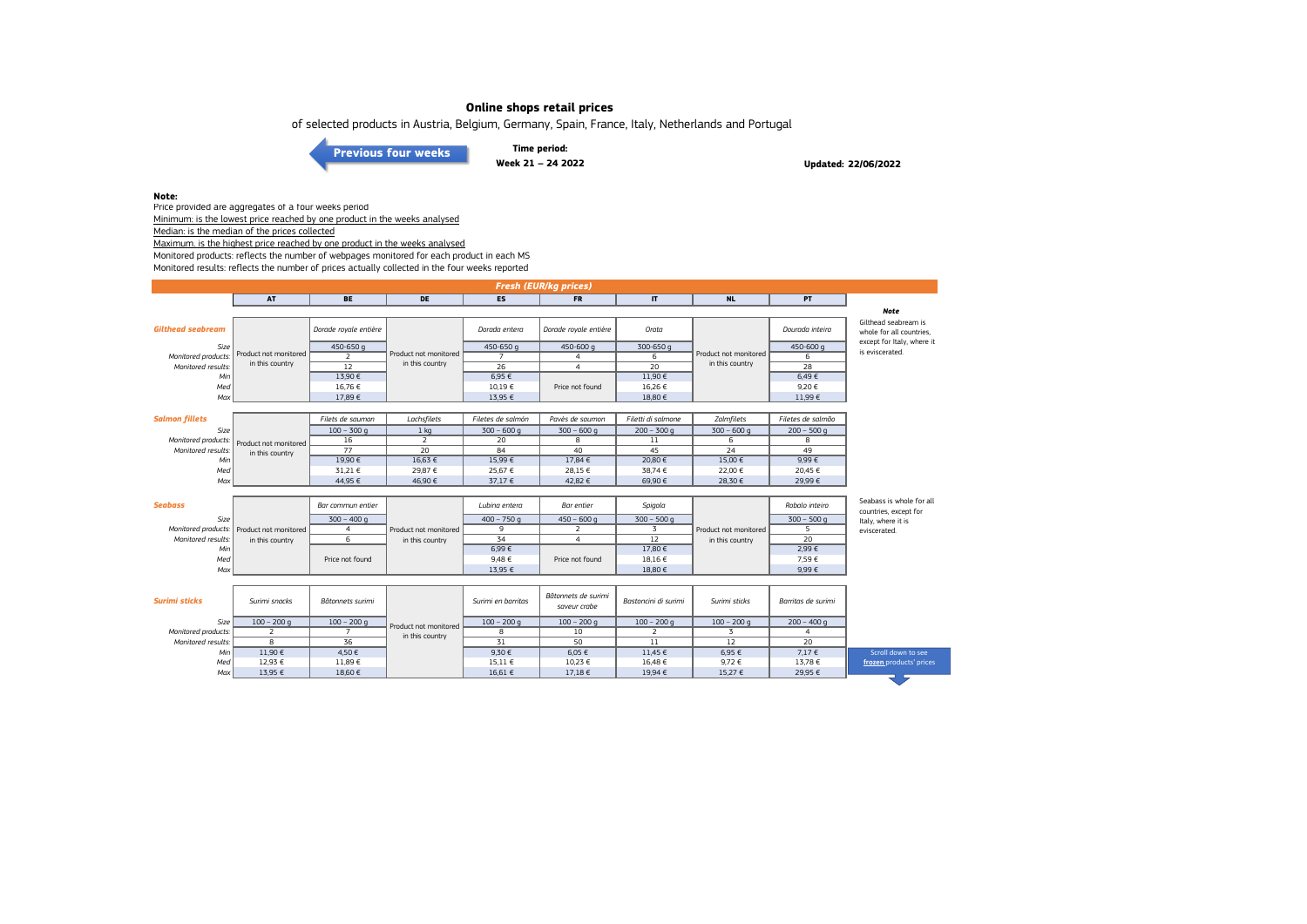of selected products in Austria, Belgium, Germany, Spain, France, Italy, Netherlands and Portugal

**[Previous four weeks](https://www.eumofa.eu/documents/20178/487668/W17-20_2022.pdf/0e7b64a2-f1dc-1c7a-9b99-d2acc501181e?t=1653382663063)**

**Time period: Week 21 – 24 2022**

**Updated: 22/06/2022**

#### **Note:**

Price provided are aggregates of a four weeks period Minimum: is the lowest price reached by one product in the weeks analysed Median: is the median of the prices collected

Maximum. is the highest price reached by one product in the weeks analysed

Monitored products: reflects the number of webpages monitored for each product in each MS

Monitored results: reflects the number of prices actually collected in the four weeks reported

| <b>Fresh (EUR/kg prices)</b> |                       |                       |                       |                    |                                     |                      |                       |                    |                                                   |  |
|------------------------------|-----------------------|-----------------------|-----------------------|--------------------|-------------------------------------|----------------------|-----------------------|--------------------|---------------------------------------------------|--|
|                              | <b>AT</b>             | <b>BE</b>             | <b>DE</b>             | <b>ES</b>          | <b>FR</b>                           | $\mathbf{I}$         | <b>NL</b>             | <b>PT</b>          |                                                   |  |
|                              |                       |                       |                       |                    |                                     |                      |                       |                    | <b>Note</b>                                       |  |
| <b>Gilthead seabream</b>     |                       | Dorade rovale entière |                       | Dorada entera      | Dorade royale entière               | Orata                |                       | Dourada inteira    | Gilthead seabream is<br>whole for all countries.  |  |
| Size                         |                       | 450-650 g             |                       | 450-650 g          | 450-600 g                           | 300-650 g            |                       | 450-600 g          | except for Italy, where it                        |  |
| Monitored products.          | Product not monitored | 2                     | Product not monitored | $\overline{7}$     | $\overline{4}$                      | 6                    | Product not monitored | 6                  | is eviscerated.                                   |  |
| Monitored results:           | in this country       | $\overline{12}$       | in this country       | $\overline{26}$    | $\overline{4}$                      | $\overline{20}$      | in this country       | 28                 |                                                   |  |
| Min                          |                       | 13,90€                |                       | 6,95€              |                                     | 11,90€               |                       | 6,49€              |                                                   |  |
| Med                          |                       | 16.76€                |                       | $10.19 \in$        | Price not found                     | 16.26 €              |                       | 9.20€              |                                                   |  |
| Max                          |                       | 17,89€                |                       | 13,95 €            |                                     | 18,80 €              |                       | 11,99 €            |                                                   |  |
|                              |                       |                       |                       |                    |                                     |                      |                       |                    |                                                   |  |
| <b>Salmon fillets</b>        |                       | Filets de saumon      | Lachsfilets           | Filetes de salmón  | Pavès de saumon                     | Filetti di salmone   | Zalmfilets            | Filetes de salmão  |                                                   |  |
| Size                         |                       | $100 - 300$ q         | 1 <sub>kg</sub>       | $300 - 600q$       | $300 - 600q$                        | $200 - 300$ q        | $300 - 600$ g         | $200 - 500$ q      |                                                   |  |
| Monitored products:          | Product not monitored | 16                    | $\overline{2}$        | 20                 | 8                                   | 11                   | 6                     | 8                  |                                                   |  |
| Monitored results.           | in this country       | 77                    | 20                    | 84                 | 40                                  | 45                   | 24                    | 49                 |                                                   |  |
| Min                          |                       | 19,90€                | 16,63€                | 15,99€             | 17,84 €                             | 20,80€               | 15,00€                | $9,99 \in$         |                                                   |  |
| Med                          |                       | 31,21 €               | 29,87€                | 25,67 €            | 28,15 €                             | 38,74 €              | 22,00€                | 20,45 €            |                                                   |  |
| Max                          |                       | 44,95 €               | 46,90 €               | 37,17 €            | 42,82 €                             | 69,90€               | 28,30 €               | 29,99€             |                                                   |  |
|                              |                       |                       |                       |                    |                                     |                      |                       |                    |                                                   |  |
| <b>Seabass</b>               |                       | Bar commun entier     |                       | Lubina entera      | <b>Bar</b> entier                   | Spigola              |                       | Robalo inteiro     | Seabass is whole for all<br>countries, except for |  |
| Size                         |                       | $300 - 400q$          |                       | $400 - 750$ g      | $450 - 600$ g                       | $300 - 500$ g        |                       | $300 - 500$ g      | Italy, where it is                                |  |
| Monitored products:          | Product not monitored | $\overline{4}$        | Product not monitored | 9                  | $\overline{2}$                      | 3                    | Product not monitored | 5                  | eviscerated.                                      |  |
| Monitored results:           | in this country       | 6                     | in this country       | $\overline{34}$    | $\overline{4}$                      | $\overline{12}$      | in this country       | $\overline{20}$    |                                                   |  |
| Min                          |                       |                       |                       | 6,99€              |                                     | 17,80 €              |                       | 2,99€              |                                                   |  |
| Med                          |                       | Price not found       |                       | 9,48€              | Price not found                     | 18,16€               |                       | 7,59€              |                                                   |  |
| Max                          |                       |                       |                       | 13.95 €            |                                     | 18.80 €              |                       | $9.99 \in$         |                                                   |  |
| <b>Surimi sticks</b>         | Surimi snacks         | Bâtonnets surimi      |                       | Surimi en barritas | Bâtonnets de surimi<br>saveur crabe | Bastoncini di surimi | Surimi sticks         | Barritas de surimi |                                                   |  |
| Size                         | $100 - 200$ q         | $100 - 200$ g         | Product not monitored | $100 - 200$ q      | $100 - 200$ q                       | $100 - 200$ g        | $100 - 200$ g         | $200 - 400 g$      |                                                   |  |
| Monitored products:          | $\overline{2}$        | $\overline{ }$        | in this country       | $\overline{8}$     | 10                                  | 2                    | $\overline{3}$        | $\overline{4}$     |                                                   |  |
| Monitored results:           | 8                     | 36                    |                       | 31                 | 50                                  | 11                   | 12                    | 20                 |                                                   |  |
| Min                          | 11,90 €               | 4,50€                 |                       | 9,30€              | $6,05 \in$                          | 11,45 €              | 6,95€                 | 7,17€              | Scroll down to see                                |  |
| Med                          | 12,93 €               | 11,89€                |                       | 15,11 €            | 10,23 €                             | 16,48 €              | 9,72€                 | 13,78 €            | frozen products' prices                           |  |
| Max                          | 13,95 €               | 18,60 €               |                       | 16,61 €            | 17,18 €                             | 19,94 €              | 15,27 €               | 29,95 €            |                                                   |  |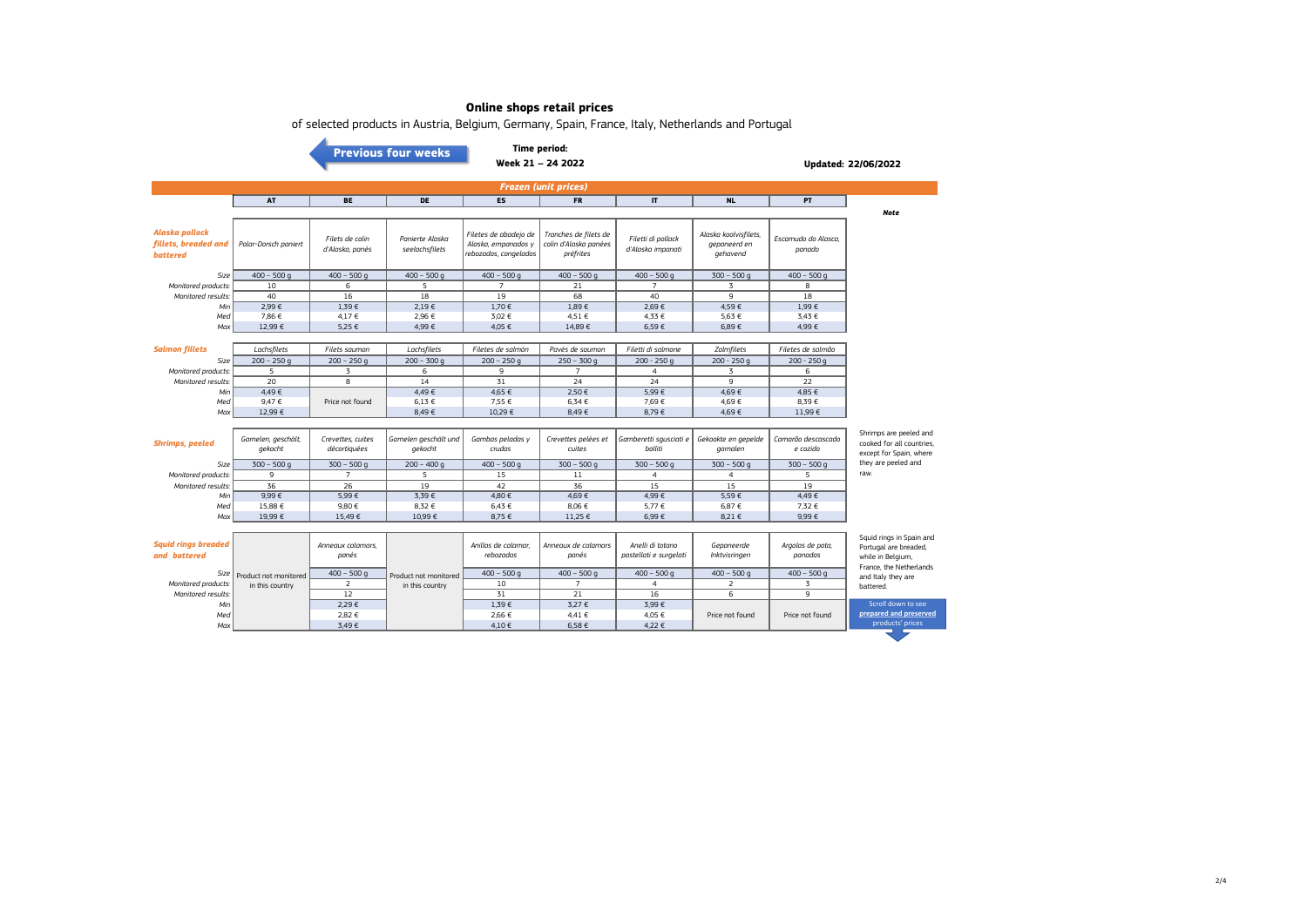| of selected products in Austria, Belgium, Germany, Spain, France, Italy, Netherlands and Portugal |                                |                                    |                                   |                                                                       |                                                             |                                            |                                                   |                                |                                                                                                   |  |  |
|---------------------------------------------------------------------------------------------------|--------------------------------|------------------------------------|-----------------------------------|-----------------------------------------------------------------------|-------------------------------------------------------------|--------------------------------------------|---------------------------------------------------|--------------------------------|---------------------------------------------------------------------------------------------------|--|--|
| Time period:                                                                                      |                                |                                    |                                   |                                                                       |                                                             |                                            |                                                   |                                |                                                                                                   |  |  |
| <b>Previous four weeks</b><br>Week 21 - 24 2022<br>Updated: 22/06/2022                            |                                |                                    |                                   |                                                                       |                                                             |                                            |                                                   |                                |                                                                                                   |  |  |
|                                                                                                   |                                |                                    |                                   |                                                                       |                                                             |                                            |                                                   |                                |                                                                                                   |  |  |
|                                                                                                   |                                |                                    |                                   |                                                                       | <b>Frozen (unit prices)</b>                                 |                                            |                                                   |                                |                                                                                                   |  |  |
|                                                                                                   | AT                             | <b>BE</b>                          | <b>DE</b>                         | ES                                                                    | <b>FR</b>                                                   | $\mathsf{I}\mathsf{T}$                     | <b>NL</b>                                         | PT                             |                                                                                                   |  |  |
|                                                                                                   |                                |                                    |                                   |                                                                       |                                                             |                                            |                                                   |                                | <b>Note</b>                                                                                       |  |  |
| Alaska pollock<br>fillets, breaded and<br><b>battered</b>                                         | Polar-Dorsch paniert           | Filets de colin<br>d'Alaska, panés | Panierte Alaska<br>seelachsfilets | Filetes de abadejo de<br>Alaska, empanados y<br>rebozados, congelados | Tranches de filets de<br>colin d'Alaska panées<br>préfrites | Filetti di pollack<br>d'Alaska impanati    | Alaska koolvisfilets,<br>gepaneerd en<br>gehavend | Escamudo do Alasca,<br>panado  |                                                                                                   |  |  |
| Size                                                                                              | $400 - 500$ q                  | $400 - 500q$                       | $400 - 500$ q                     | $400 - 500$ q                                                         | $400 - 500$ q                                               | $400 - 500$ q                              | $300 - 500$ q                                     | $400 - 500$ q                  |                                                                                                   |  |  |
| Monitored products.                                                                               | 10                             | $\overline{6}$                     | 5                                 | $\overline{7}$                                                        | 21                                                          | $\overline{7}$                             | 3                                                 | 8                              |                                                                                                   |  |  |
| Monitored results.                                                                                | 40                             | 16                                 | 18                                | 19                                                                    | 68                                                          | 40                                         | 9                                                 | 18                             |                                                                                                   |  |  |
| Min                                                                                               | 2.99€                          | 1.39€                              | 2.19€                             | 1.70€                                                                 | 1.89€                                                       | 2.69€                                      | 4.59€                                             | 1.99€                          |                                                                                                   |  |  |
| Med                                                                                               | 7,86 €<br>12,99€               | 4,17€<br>5,25 €                    | 2,96 €<br>4,99€                   | 3,02 €<br>4,05 €                                                      | 4,51 €                                                      | 4.33 €<br>6,59€                            | 5,63 €<br>6,89€                                   | 3,43 €<br>4,99€                |                                                                                                   |  |  |
| Max                                                                                               |                                |                                    |                                   |                                                                       | 14,89€                                                      |                                            |                                                   |                                |                                                                                                   |  |  |
| <b>Salmon fillets</b>                                                                             | Lachsfilets                    | Filets saumon                      | Lachsfilets                       | Filetes de salmón                                                     | Pavés de saumon                                             | Filetti di salmone                         | Zalmfilets                                        | Filetes de salmão              |                                                                                                   |  |  |
| Size                                                                                              | $200 - 250q$                   | $200 - 250q$                       | $200 - 300q$                      | $200 - 250q$                                                          | $250 - 300q$                                                | $200 - 250q$                               | $200 - 250q$                                      | $200 - 250q$                   |                                                                                                   |  |  |
| Monitored products.                                                                               | 5                              | 3                                  | 6                                 | 9                                                                     | $\overline{7}$                                              | $\overline{4}$                             | 3                                                 | 6                              |                                                                                                   |  |  |
| Monitored results:                                                                                | $\overline{20}$                | $\overline{8}$                     | 14                                | $\overline{31}$                                                       | $\overline{24}$                                             | 24                                         | 9                                                 | 22                             |                                                                                                   |  |  |
| Min                                                                                               | 4,49€                          |                                    | 4,49€                             | 4,65 €                                                                | 2.50€                                                       | 5.99€                                      | 4.69€                                             | 4.85 €                         |                                                                                                   |  |  |
| Med                                                                                               | 9.47€                          | Price not found                    | $6.13 \in$                        | 7,55 €                                                                | 6,34€                                                       | 7,69€                                      | 4,69€                                             | 8.39€                          |                                                                                                   |  |  |
| Max                                                                                               | 12,99 €                        |                                    | 8,49€                             | 10,29€                                                                | 8,49€                                                       | 8,79€                                      | 4,69€                                             | 11,99 €                        |                                                                                                   |  |  |
|                                                                                                   |                                |                                    |                                   |                                                                       |                                                             |                                            |                                                   |                                |                                                                                                   |  |  |
| <b>Shrimps, peeled</b>                                                                            | Garnelen, geschält,<br>gekocht | Crevettes, cuites<br>décortiquées  | Garnelen geschält und<br>gekocht  | Gambas peladas y<br>crudas                                            | Crevettes pelées et<br>cuites                               | Gamberetti squsciati e<br>bolliti          | Gekookte en gepelde<br>garnalen                   | Camarão descascado<br>e cozido | Shrimps are peeled and<br>cooked for all countries.<br>except for Spain, where                    |  |  |
| Size                                                                                              | $300 - 500$ q                  | $300 - 500$ q                      | $200 - 400q$                      | $400 - 500q$                                                          | $300 - 500q$                                                | $300 - 500$ q                              | $300 - 500$ q                                     | $300 - 500$ q                  | they are peeled and                                                                               |  |  |
| Monitored products.                                                                               | 9                              | $\overline{7}$                     | 5                                 | 15                                                                    | 11                                                          | $\overline{4}$                             | $\overline{4}$                                    | 5                              | raw.                                                                                              |  |  |
| Monitored results:                                                                                | 36                             | 26                                 | 19                                | 42                                                                    | 36                                                          | 15                                         | 15                                                | 19                             |                                                                                                   |  |  |
| Min                                                                                               | $9,99 \in$                     | 5,99€<br>9,80€                     | 3,39€<br>8,32 €                   | 4,80 €<br>6,43 €                                                      | 4,69€                                                       | 4.99€<br>5,77 €                            | 5,59€<br>6,87 €                                   | 4,49€                          |                                                                                                   |  |  |
| Med<br>Max                                                                                        | 15,88 €<br>19,99€              | 15,49€                             | 10,99€                            | 8,75 €                                                                | 8,06€<br>11,25 €                                            | 6,99€                                      | 8,21 €                                            | 7,32 €<br>9,99€                |                                                                                                   |  |  |
|                                                                                                   |                                |                                    |                                   |                                                                       |                                                             |                                            |                                                   |                                |                                                                                                   |  |  |
| <b>Squid rings breaded</b><br>and battered                                                        |                                | Annegux calamars.<br>panés         |                                   | Anillas de calamar.<br>rebozadas                                      | Annegux de calamars<br>panés                                | Anelli di totano<br>pastellati e surgelati | Gepaneerde<br>Inktvisringen                       | Argolas de pota,<br>panadas    | Squid rings in Spain and<br>Portugal are breaded,<br>while in Belgium,<br>France, the Netherlands |  |  |
| Size                                                                                              | Product not monitored          | $400 - 500$ g                      | Product not monitored             | $400 - 500$ q                                                         | $400 - 500$ q                                               | $400 - 500$ q                              | $400 - 500$ q                                     | $400 - 500$ q                  | and Italy they are                                                                                |  |  |
| Monitored products:                                                                               | in this country                | 2                                  | in this country                   | 10                                                                    | $\overline{7}$                                              | $\overline{4}$                             | 2                                                 | 3                              | battered.                                                                                         |  |  |
| Monitored results:                                                                                |                                | 12                                 |                                   | 31                                                                    | 21                                                          | 16                                         | 6                                                 | 9                              |                                                                                                   |  |  |
| Min                                                                                               |                                | 2,29€                              |                                   | 1,39€                                                                 | 3,27 €                                                      | 3,99€                                      |                                                   |                                | Scroll down to see<br>prepared and preserved                                                      |  |  |
| Med<br>Max                                                                                        |                                | 2,82 €<br>3,49€                    |                                   | 2,66 €<br>4,10€                                                       | 4,41€<br>6,58€                                              | 4,05 €<br>4,22 €                           | Price not found                                   | Price not found                | products' prices                                                                                  |  |  |
|                                                                                                   |                                |                                    |                                   |                                                                       |                                                             |                                            |                                                   |                                |                                                                                                   |  |  |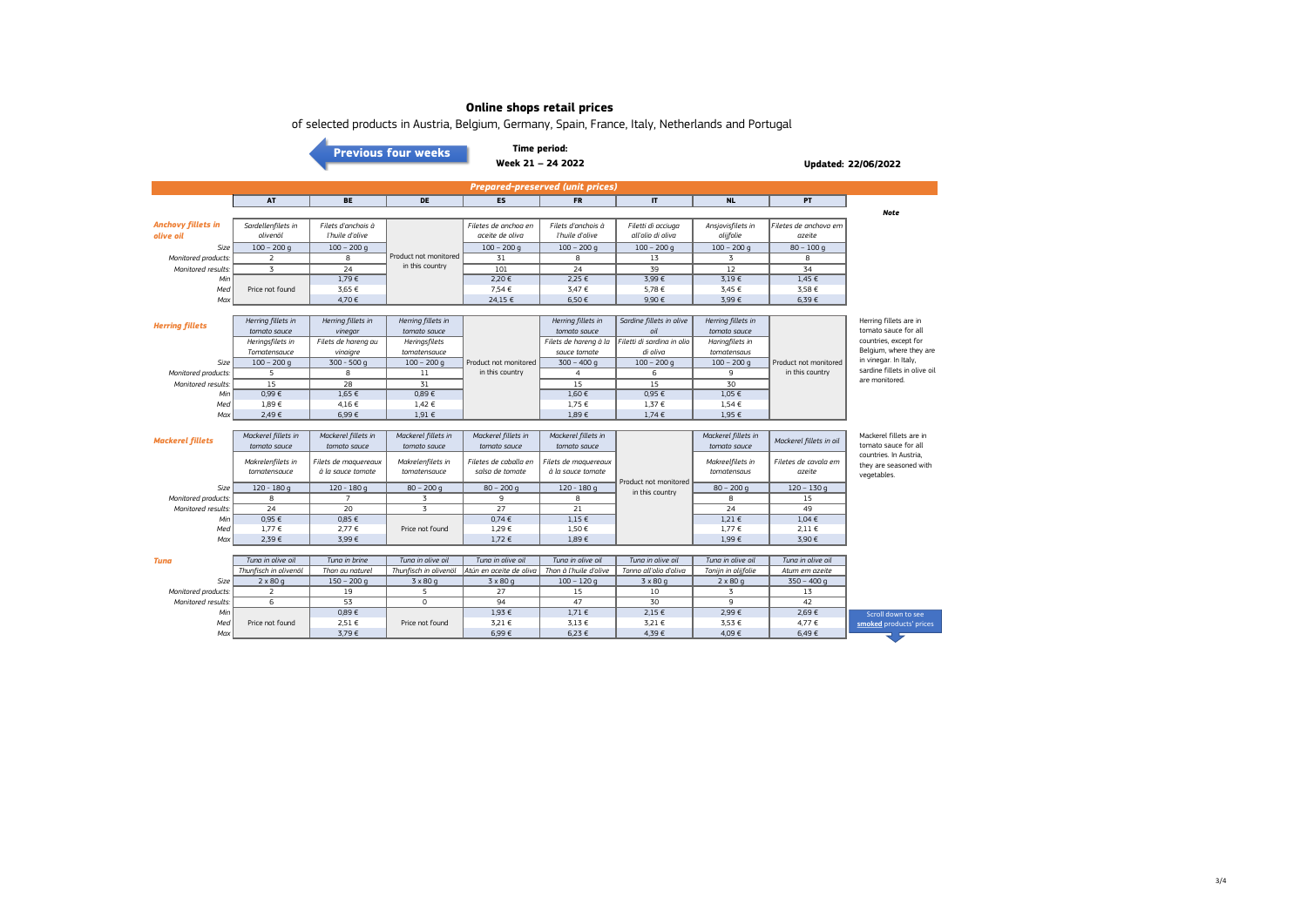| of selected products in Austria, Belgium, Germany, Spain, France, Italy, Netherlands and Portugal |  |  |  |  |  |  |  |  |
|---------------------------------------------------------------------------------------------------|--|--|--|--|--|--|--|--|
|---------------------------------------------------------------------------------------------------|--|--|--|--|--|--|--|--|

**[Previous four weeks](https://www.eumofa.eu/documents/20178/487668/W17-20_2022.pdf/0e7b64a2-f1dc-1c7a-9b99-d2acc501181e?t=1653382663063)**

#### **Time period: Week 21 – 24 2022**

**Updated: 22/06/2022**

| <b>Prepared-preserved (unit prices)</b> |                    |                     |                       |                       |                       |                            |                    |                       |                                                |  |  |
|-----------------------------------------|--------------------|---------------------|-----------------------|-----------------------|-----------------------|----------------------------|--------------------|-----------------------|------------------------------------------------|--|--|
|                                         | <b>AT</b>          | <b>BE</b>           | DE                    | <b>ES</b>             | <b>FR</b>             | $\mathbf{H}$               | <b>NL</b>          | <b>PT</b>             |                                                |  |  |
|                                         |                    |                     |                       |                       |                       |                            |                    |                       | <b>Note</b>                                    |  |  |
| <b>Anchovy fillets in</b>               | Sardellenfilets in | Filets d'anchois à  |                       | Filetes de anchoa en  | Filets d'anchois à    | Filetti di acciuga         | Ansjovisfilets in  | Filetes de anchova em |                                                |  |  |
| olive oil                               | olivenöl           | l'huile d'olive     |                       | aceite de oliva       | l'huile d'olive       | all'olio di oliva          | olijfolie          | azeite                |                                                |  |  |
| Size                                    | $100 - 200$ g      | $100 - 200$ q       |                       | $100 - 200$ a         | $100 - 200$ q         | $100 - 200$ a              | $100 - 200$ q      | $80 - 100$ a          |                                                |  |  |
| Monitored products:                     |                    | 8                   | Product not monitored | 31                    | 8                     | 13                         |                    | $\mathbf{R}$          |                                                |  |  |
| Monitored results:                      | $\overline{3}$     | 24                  | in this country       | 101                   | 24                    | 39                         | 12                 | 34                    |                                                |  |  |
| Min                                     |                    | 1,79€               |                       | 2,20 €                | 2,25 €                | 3,99€                      | 3.19E              | $1,45 \in$            |                                                |  |  |
| Med                                     | Price not found    | 3,65 €              |                       | 7,54 €                | 3,47 €                | 5,78€                      | 3,45 €             | 3,58 €                |                                                |  |  |
| Max                                     |                    | 4.70€               |                       | 24.15€                | 6,50€                 | 9.90€                      | 3,99€              | $6,39 \in$            |                                                |  |  |
|                                         |                    |                     |                       |                       |                       |                            |                    |                       |                                                |  |  |
| <b>Herring fillets</b>                  | Herring fillets in | Herring fillets in  | Herring fillets in    |                       | Herring fillets in    | Sardine fillets in olive   | Herring fillets in |                       | Herring fillets are in                         |  |  |
|                                         | tomato sauce       | vinegar             | tomato sauce          |                       | tomato sauce          | oil                        | tomato sauce       |                       | tomato sauce for all                           |  |  |
|                                         | Heringsfilets in   | Filets de hareng au | Heringsfilets         |                       | Filets de harena à la | Filetti di sardina in olio | Haringfilets in    |                       | countries, except for                          |  |  |
|                                         | Tomatensauce       | vinaigre            | tomatensauce          |                       | sauce tomate          | di oliva                   | tomatensaus        |                       | Belgium, where they are                        |  |  |
| Size                                    | $100 - 200$ q      | $300 - 500$ q       | $100 - 200$ q         | Product not monitored | $300 - 400q$          | $100 - 200$ g              | $100 - 200$ q      | Product not monitored | in vinegar. In Italy,                          |  |  |
| Monitored products:                     | 5                  | 8                   | 11                    | in this country       | $\overline{a}$        | 6                          | 9                  | in this country       | sardine fillets in olive oil<br>are monitored. |  |  |
| Monitored results:                      | 15                 | 28                  | 31                    |                       | 15                    | 15                         | 30                 |                       |                                                |  |  |
| Min                                     | $0,99 \in$         | $1,65 \in$          | 0,89E                 |                       | 1,60E                 | 0,95 €                     | $1,05 \in$         |                       |                                                |  |  |
| Med                                     | 1,89€              | 4,16€               | 1,42 €                |                       | 1.75E                 | 1,37 €                     | $1.54 \in$         |                       |                                                |  |  |
| Max                                     | 2,49€              | 6,99€               | $1.91 \in$            |                       | $1,89 \in$            | $1,74 \in$                 | $1,95 \in$         |                       |                                                |  |  |

| <b>Mackerel fillets</b> | Mackerel fillets in<br>tomato sauce | Mackerel fillets in<br>tomato sauce       | Mackerel fillets in<br>tomato sauce | Mackerel fillets in<br>tomato sauce      | Mackerel fillets in<br>tomato sauce       |                                          | Mackerel fillets in<br>tomato sauce | Mackerel fillets in oil        | Mackerel fillets are in<br>tomato sauce for all                 |
|-------------------------|-------------------------------------|-------------------------------------------|-------------------------------------|------------------------------------------|-------------------------------------------|------------------------------------------|-------------------------------------|--------------------------------|-----------------------------------------------------------------|
|                         | Makrelenfilets in<br>tomatensauce   | Filets de maquereaux<br>à la sauce tomate | Makrelenfilets in<br>tomatensauce   | Filetes de caballa en<br>salsa de tomate | Filets de maquereaux<br>à la sauce tomate |                                          | Makreelfilets in<br>tomatensaus     | Filetes de cavala em<br>azeite | countries. In Austria.<br>they are seasoned with<br>vegetables. |
| <b>Size</b>             | $120 - 180$ a                       | $120 - 180$ q                             | $80 - 200$ q                        | $80 - 200$ q                             | $120 - 180$ q                             | Product not monitored<br>in this country | $80 - 200$ g                        | $120 - 130$ q                  |                                                                 |
| Monitored products:     | 8                                   |                                           |                                     |                                          |                                           |                                          |                                     | 15                             |                                                                 |
| Monitored results: I    | 24                                  | 20                                        |                                     | 27                                       |                                           |                                          | 24                                  | 49                             |                                                                 |
| Min                     | 0.95 €                              | 0,85 €                                    |                                     | 0.74E                                    | $1,15 \in$                                |                                          | 1,21 €                              | $1.04 \in$                     |                                                                 |
| Med <sup>1</sup>        | 1.77E                               | 2.77 €                                    | Price not found                     | 1,29 €                                   | 1.50€                                     |                                          | 1,77 €                              | $2.11 \in$                     |                                                                 |
| Max <sup>1</sup>        | 2,39€                               | 3,99€                                     |                                     | 1,72 €                                   | 1,89€                                     |                                          | 1,99€                               | 3,90 €                         |                                                                 |

| Tuna                | Tung in olive oil     | Tung in brine   | Tung in olive oil     | Tung in olive oil                                  | Tung in olive oil | Tung in olive oil      | Tung in olive oil   | Tung in olive oil |                         |
|---------------------|-----------------------|-----------------|-----------------------|----------------------------------------------------|-------------------|------------------------|---------------------|-------------------|-------------------------|
|                     | Thunfisch in olivenöl | Thon au naturel | Thunfisch in olivenöl | latún en aceite de oliva la Thon à l'huile d'olive |                   | Tonno all'olio d'oliva | Tonijn in olijfolie | Atum em azeite    |                         |
| <b>Size</b>         | $2 \times 80$ a       | $150 - 200$ a   | $3 \times 80q$        | $3 \times 80$ a                                    | $100 - 120$ q     | $3 \times 80$ q        | $2 \times 80$ q     | $350 - 400$ q     |                         |
| Monitored products: |                       | 19              |                       | 27                                                 | 15                | 10                     |                     | 13                |                         |
| Monitored results:  |                       |                 |                       | 94                                                 | 47                | 30                     |                     | 42                |                         |
| Min                 |                       | 0,89€           |                       | 1,93 €                                             | 1,71€             | $2,15 \in$             | 2,99 €              | 2,69€             | Scroll down to see      |
| Med                 | Price not found       | 2,51 €          | Price not found       | 3,21 €                                             | $3.13 \in$        | 3,21 €                 | 3.53 €              | 4,77 €            | smoked products' prices |
| Max                 |                       | 3,79€           |                       | 6,99€                                              | 6,23 €            | 4,39€                  | 4,09€               | 6,49€             |                         |
|                     |                       |                 |                       |                                                    |                   |                        |                     |                   |                         |